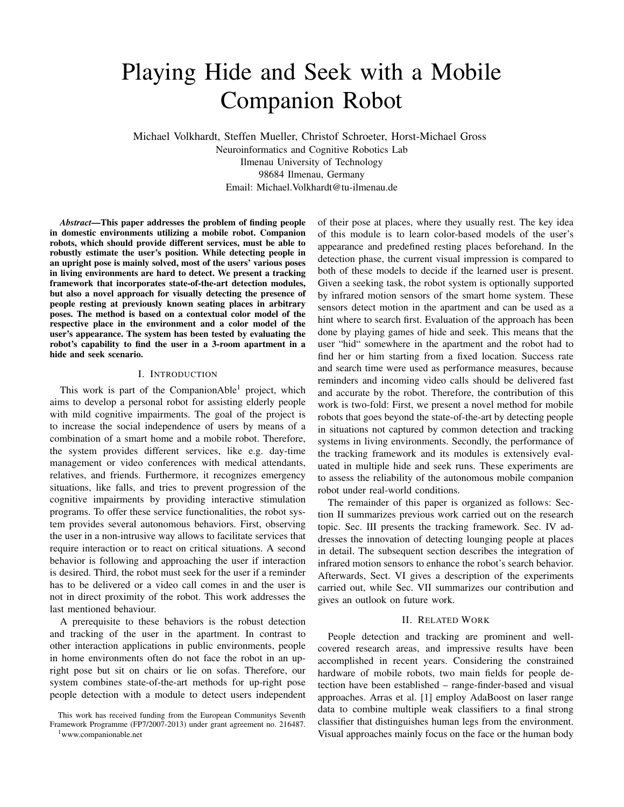# Playing Hide and Seek with a Mobile Companion Robot

Michael Volkhardt, Steffen Mueller, Christof Schroeter, Horst-Michael Gross Neuroinformatics and Cognitive Robotics Lab Ilmenau University of Technology 98684 Ilmenau, Germany Email: Michael.Volkhardt@tu-ilmenau.de

*Abstract*—This paper addresses the problem of finding people in domestic environments utilizing a mobile robot. Companion robots, which should provide different services, must be able to robustly estimate the user's position. While detecting people in an upright pose is mainly solved, most of the users' various poses in living environments are hard to detect. We present a tracking framework that incorporates state-of-the-art detection modules, but also a novel approach for visually detecting the presence of people resting at previously known seating places in arbitrary poses. The method is based on a contextual color model of the respective place in the environment and a color model of the user's appearance. The system has been tested by evaluating the robot's capability to find the user in a 3-room apartment in a hide and seek scenario.

# I. INTRODUCTION

This work is part of the CompanionAble<sup>1</sup> project, which aims to develop a personal robot for assisting elderly people with mild cognitive impairments. The goal of the project is to increase the social independence of users by means of a combination of a smart home and a mobile robot. Therefore, the system provides different services, like e.g. day-time management or video conferences with medical attendants, relatives, and friends. Furthermore, it recognizes emergency situations, like falls, and tries to prevent progression of the cognitive impairments by providing interactive stimulation programs. To offer these service functionalities, the robot system provides several autonomous behaviors. First, observing the user in a non-intrusive way allows to facilitate services that require interaction or to react on critical situations. A second behavior is following and approaching the user if interaction is desired. Third, the robot must seek for the user if a reminder has to be delivered or a video call comes in and the user is not in direct proximity of the robot. This work addresses the last mentioned behaviour.

A prerequisite to these behaviors is the robust detection and tracking of the user in the apartment. In contrast to other interaction applications in public environments, people in home environments often do not face the robot in an upright pose but sit on chairs or lie on sofas. Therefore, our system combines state-of-the-art methods for up-right pose people detection with a module to detect users independent

of their pose at places, where they usually rest. The key idea of this module is to learn color-based models of the user's appearance and predefined resting places beforehand. In the detection phase, the current visual impression is compared to both of these models to decide if the learned user is present. Given a seeking task, the robot system is optionally supported by infrared motion sensors of the smart home system. These sensors detect motion in the apartment and can be used as a hint where to search first. Evaluation of the approach has been done by playing games of hide and seek. This means that the user "hid" somewhere in the apartment and the robot had to find her or him starting from a fixed location. Success rate and search time were used as performance measures, because reminders and incoming video calls should be delivered fast and accurate by the robot. Therefore, the contribution of this work is two-fold: First, we present a novel method for mobile robots that goes beyond the state-of-the-art by detecting people in situations not captured by common detection and tracking systems in living environments. Secondly, the performance of the tracking framework and its modules is extensively evaluated in multiple hide and seek runs. These experiments are to assess the reliability of the autonomous mobile companion robot under real-world conditions.

The remainder of this paper is organized as follows: Section II summarizes previous work carried out on the research topic. Sec. III presents the tracking framework. Sec. IV addresses the innovation of detecting lounging people at places in detail. The subsequent section describes the integration of infrared motion sensors to enhance the robot's search behavior. Afterwards, Sect. VI gives a description of the experiments carried out, while Sec. VII summarizes our contribution and gives an outlook on future work.

#### II. RELATED WORK

People detection and tracking are prominent and wellcovered research areas, and impressive results have been accomplished in recent years. Considering the constrained hardware of mobile robots, two main fields for people detection have been established – range-finder-based and visual approaches. Arras et al. [1] employ AdaBoost on laser range data to combine multiple weak classifiers to a final strong classifier that distinguishes human legs from the environment. Visual approaches mainly focus on the face or the human body

This work has received funding from the European Communitys Seventh Framework Programme (FP7/2007-2013) under grant agreement no. 216487. <sup>1</sup>www.companionable.net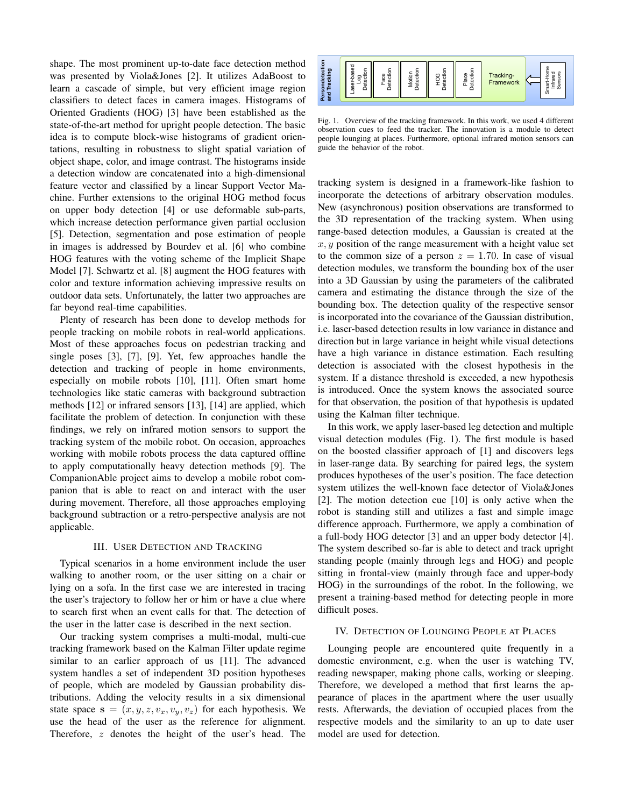shape. The most prominent up-to-date face detection method was presented by Viola&Jones [2]. It utilizes AdaBoost to learn a cascade of simple, but very efficient image region classifiers to detect faces in camera images. Histograms of Oriented Gradients (HOG) [3] have been established as the state-of-the-art method for upright people detection. The basic idea is to compute block-wise histograms of gradient orientations, resulting in robustness to slight spatial variation of object shape, color, and image contrast. The histograms inside a detection window are concatenated into a high-dimensional feature vector and classified by a linear Support Vector Machine. Further extensions to the original HOG method focus on upper body detection [4] or use deformable sub-parts, which increase detection performance given partial occlusion [5]. Detection, segmentation and pose estimation of people in images is addressed by Bourdev et al. [6] who combine HOG features with the voting scheme of the Implicit Shape Model [7]. Schwartz et al. [8] augment the HOG features with color and texture information achieving impressive results on outdoor data sets. Unfortunately, the latter two approaches are far beyond real-time capabilities. Stage. The Based control in the colling and the control method in the colling and the control method in the colling and the colling and the colling and the colling and the user-based Center height of the user-based Center

Plenty of research has been done to develop methods for people tracking on mobile robots in real-world applications. Most of these approaches focus on pedestrian tracking and single poses [3], [7], [9]. Yet, few approaches handle the detection and tracking of people in home environments, especially on mobile robots [10], [11]. Often smart home technologies like static cameras with background subtraction methods [12] or infrared sensors [13], [14] are applied, which facilitate the problem of detection. In conjunction with these findings, we rely on infrared motion sensors to support the tracking system of the mobile robot. On occasion, approaches working with mobile robots process the data captured offline to apply computationally heavy detection methods [9]. The CompanionAble project aims to develop a mobile robot companion that is able to react on and interact with the user during movement. Therefore, all those approaches employing background subtraction or a retro-perspective analysis are not applicable.

## III. USER DETECTION AND TRACKING

Typical scenarios in a home environment include the user walking to another room, or the user sitting on a chair or lying on a sofa. In the first case we are interested in tracing the user's trajectory to follow her or him or have a clue where to search first when an event calls for that. The detection of the user in the latter case is described in the next section.

Our tracking system comprises a multi-modal, multi-cue tracking framework based on the Kalman Filter update regime similar to an earlier approach of us [11]. The advanced system handles a set of independent 3D position hypotheses of people, which are modeled by Gaussian probability distributions. Adding the velocity results in a six dimensional state space  $s = (x, y, z, v_x, v_y, v_z)$  for each hypothesis. We use the head of the user as the reference for alignment.



Fig. 1. Overview of the tracking framework. In this work, we used 4 different observation cues to feed the tracker. The innovation is a module to detect people lounging at places. Furthermore, optional infrared motion sensors can guide the behavior of the robot.

tracking system is designed in a framework-like fashion to incorporate the detections of arbitrary observation modules. New (asynchronous) position observations are transformed to the 3D representation of the tracking system. When using range-based detection modules, a Gaussian is created at the  $x, y$  position of the range measurement with a height value set to the common size of a person  $z = 1.70$ . In case of visual detection modules, we transform the bounding box of the user into a 3D Gaussian by using the parameters of the calibrated camera and estimating the distance through the size of the bounding box. The detection quality of the respective sensor is incorporated into the covariance of the Gaussian distribution, i.e. laser-based detection results in low variance in distance and direction but in large variance in height while visual detections have a high variance in distance estimation. Each resulting detection is associated with the closest hypothesis in the system. If a distance threshold is exceeded, a new hypothesis is introduced. Once the system knows the associated source for that observation, the position of that hypothesis is updated using the Kalman filter technique.

In this work, we apply laser-based leg detection and multiple visual detection modules (Fig. 1). The first module is based on the boosted classifier approach of [1] and discovers legs in laser-range data. By searching for paired legs, the system produces hypotheses of the user's position. The face detection system utilizes the well-known face detector of Viola&Jones [2]. The motion detection cue [10] is only active when the robot is standing still and utilizes a fast and simple image difference approach. Furthermore, we apply a combination of a full-body HOG detector [3] and an upper body detector [4]. The system described so-far is able to detect and track upright standing people (mainly through legs and HOG) and people sitting in frontal-view (mainly through face and upper-body HOG) in the surroundings of the robot. In the following, we present a training-based method for detecting people in more difficult poses.

#### IV. DETECTION OF LOUNGING PEOPLE AT PLACES

Lounging people are encountered quite frequently in a domestic environment, e.g. when the user is watching TV, reading newspaper, making phone calls, working or sleeping. Therefore, we developed a method that first learns the appearance of places in the apartment where the user usually rests. Afterwards, the deviation of occupied places from the respective models and the similarity to an up to date user model are used for detection.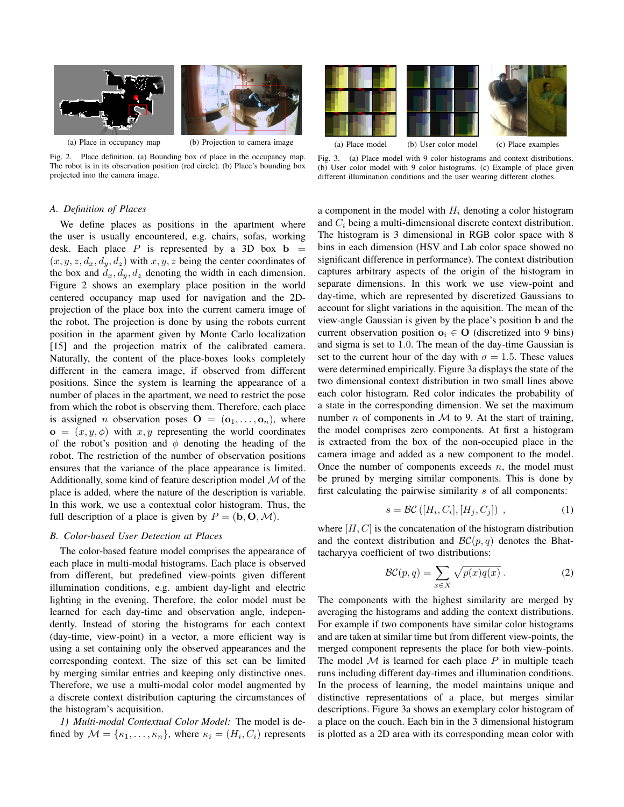

(a) Place in occupancy map (b) Projection to camera image

Fig. 2. Place definition. (a) Bounding box of place in the occupancy map. The robot is in its observation position (red circle). (b) Place's bounding box projected into the camera image.

#### *A. Definition of Places*

We define places as positions in the apartment where the user is usually encountered, e.g. chairs, sofas, working desk. Each place P is represented by a 3D box  $\mathbf{b} =$  $(x, y, z, d_x, d_y, d_z)$  with  $x, y, z$  being the center coordinates of the box and  $d_x, d_y, d_z$  denoting the width in each dimension. Figure 2 shows an exemplary place position in the world centered occupancy map used for navigation and the 2Dprojection of the place box into the current camera image of the robot. The projection is done by using the robots current position in the aparment given by Monte Carlo localization [15] and the projection matrix of the calibrated camera. Naturally, the content of the place-boxes looks completely different in the camera image, if observed from different positions. Since the system is learning the appearance of a number of places in the apartment, we need to restrict the pose from which the robot is observing them. Therefore, each place is assigned *n* observation poses  $\mathbf{O} = (\mathbf{o}_1, \dots, \mathbf{o}_n)$ , where  $\mathbf{o} = (x, y, \phi)$  with  $x, y$  representing the world coordinates of the robot's position and  $\phi$  denoting the heading of the robot. The restriction of the number of observation positions ensures that the variance of the place appearance is limited. Additionally, some kind of feature description model  $M$  of the place is added, where the nature of the description is variable. In this work, we use a contextual color histogram. Thus, the full description of a place is given by  $P = (b, 0, M)$ .

# *B. Color-based User Detection at Places*

The color-based feature model comprises the appearance of each place in multi-modal histograms. Each place is observed from different, but predefined view-points given different illumination conditions, e.g. ambient day-light and electric lighting in the evening. Therefore, the color model must be learned for each day-time and observation angle, independently. Instead of storing the histograms for each context (day-time, view-point) in a vector, a more efficient way is using a set containing only the observed appearances and the corresponding context. The size of this set can be limited by merging similar entries and keeping only distinctive ones. Therefore, we use a multi-modal color model augmented by a discrete context distribution capturing the circumstances of the histogram's acquisition.

*1) Multi-modal Contextual Color Model:* The model is defined by  $\mathcal{M} = {\kappa_1, \ldots, \kappa_n}$ , where  $\kappa_i = (H_i, C_i)$  represents



Fig. 3. (a) Place model with 9 color histograms and context distributions. (b) User color model with 9 color histograms. (c) Example of place given different illumination conditions and the user wearing different clothes.

a component in the model with  $H_i$  denoting a color histogram and  $C_i$  being a multi-dimensional discrete context distribution. The histogram is 3 dimensional in RGB color space with 8 bins in each dimension (HSV and Lab color space showed no significant difference in performance). The context distribution captures arbitrary aspects of the origin of the histogram in separate dimensions. In this work we use view-point and day-time, which are represented by discretized Gaussians to account for slight variations in the aquisition. The mean of the view-angle Gaussian is given by the place's position b and the current observation position  $o_i \in O$  (discretized into 9 bins) and sigma is set to 1.0. The mean of the day-time Gaussian is set to the current hour of the day with  $\sigma = 1.5$ . These values were determined empirically. Figure 3a displays the state of the two dimensional context distribution in two small lines above each color histogram. Red color indicates the probability of a state in the corresponding dimension. We set the maximum number  $n$  of components in  $M$  to 9. At the start of training, the model comprises zero components. At first a histogram is extracted from the box of the non-occupied place in the camera image and added as a new component to the model. Once the number of components exceeds  $n$ , the model must be pruned by merging similar components. This is done by first calculating the pairwise similarity  $s$  of all components:

$$
s = \mathcal{BC}\left([H_i, C_i], [H_j, C_j]\right) ,\tag{1}
$$

where  $[H, C]$  is the concatenation of the histogram distribution and the context distribution and  $BC(p, q)$  denotes the Bhattacharyya coefficient of two distributions:

$$
\mathcal{BC}(p,q) = \sum_{x \in X} \sqrt{p(x)q(x)} \,. \tag{2}
$$

The components with the highest similarity are merged by averaging the histograms and adding the context distributions. For example if two components have similar color histograms and are taken at similar time but from different view-points, the merged component represents the place for both view-points. The model  $M$  is learned for each place  $P$  in multiple teach runs including different day-times and illumination conditions. In the process of learning, the model maintains unique and distinctive representations of a place, but merges similar descriptions. Figure 3a shows an exemplary color histogram of a place on the couch. Each bin in the 3 dimensional histogram is plotted as a 2D area with its corresponding mean color with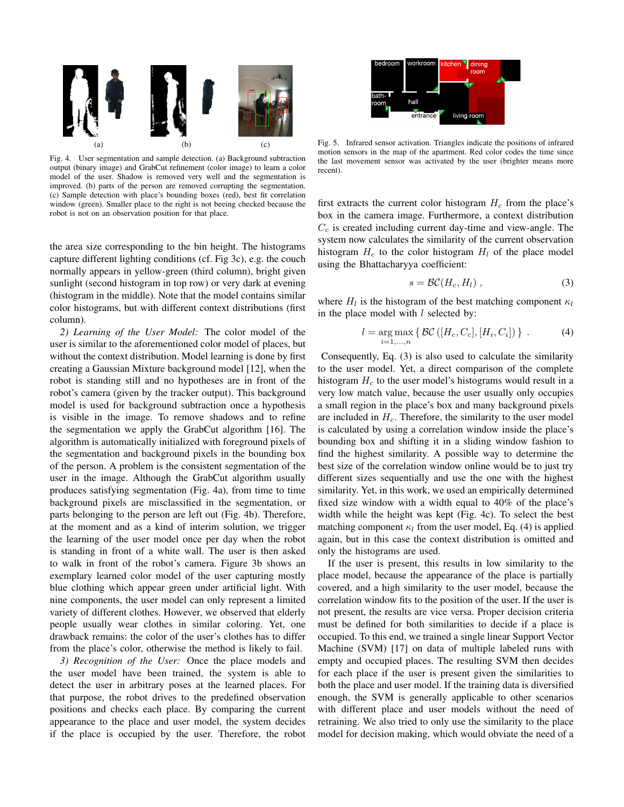

Fig. 4. User segmentation and sample detection. (a) Background subtraction output (binary image) and GrabCut refinement (color image) to learn a color model of the user. Shadow is removed very well and the segmentation is improved. (b) parts of the person are removed corrupting the segmentation. (c) Sample detection with place's bounding boxes (red), best fit correlation window (green). Smaller place to the right is not beeing checked because the robot is not on an observation position for that place.

the area size corresponding to the bin height. The histograms capture different lighting conditions (cf. Fig 3c), e.g. the couch normally appears in yellow-green (third column), bright given sunlight (second histogram in top row) or very dark at evening (histogram in the middle). Note that the model contains similar color histograms, but with different context distributions (first column).

*2) Learning of the User Model:* The color model of the user is similar to the aforementioned color model of places, but without the context distribution. Model learning is done by first creating a Gaussian Mixture background model [12], when the robot is standing still and no hypotheses are in front of the robot's camera (given by the tracker output). This background model is used for background subtraction once a hypothesis is visible in the image. To remove shadows and to refine the segmentation we apply the GrabCut algorithm [16]. The algorithm is automatically initialized with foreground pixels of the segmentation and background pixels in the bounding box of the person. A problem is the consistent segmentation of the user in the image. Although the GrabCut algorithm usually produces satisfying segmentation (Fig. 4a), from time to time background pixels are misclassified in the segmentation, or parts belonging to the person are left out (Fig. 4b). Therefore, at the moment and as a kind of interim solution, we trigger the learning of the user model once per day when the robot is standing in front of a white wall. The user is then asked to walk in front of the robot's camera. Figure 3b shows an exemplary learned color model of the user capturing mostly blue clothing which appear green under artificial light. With nine components, the user model can only represent a limited variety of different clothes. However, we observed that elderly people usually wear clothes in similar coloring. Yet, one drawback remains: the color of the user's clothes has to differ from the place's color, otherwise the method is likely to fail.

*3) Recognition of the User:* Once the place models and the user model have been trained, the system is able to detect the user in arbitrary poses at the learned places. For that purpose, the robot drives to the predefined observation positions and checks each place. By comparing the current appearance to the place and user model, the system decides if the place is occupied by the user. Therefore, the robot



Fig. 5. Infrared sensor activation. Triangles indicate the positions of infrared motion sensors in the map of the apartment. Red color codes the time since the last movement sensor was activated by the user (brighter means more recent).

first extracts the current color histogram  $H_c$  from the place's box in the camera image. Furthermore, a context distribution  $C_c$  is created including current day-time and view-angle. The system now calculates the similarity of the current observation histogram  $H_c$  to the color histogram  $H_l$  of the place model using the Bhattacharyya coefficient:

$$
s = \mathcal{BC}(H_c, H_l) \,, \tag{3}
$$

where  $H_l$  is the histogram of the best matching component  $\kappa_l$ in the place model with  $l$  selected by:

$$
l = \underset{i=1,...,n}{\arg \max} \{ \mathcal{BC} ([H_c, C_c], [H_i, C_i]) \} .
$$
 (4)

Consequently, Eq. (3) is also used to calculate the similarity to the user model. Yet, a direct comparison of the complete histogram  $H_c$  to the user model's histograms would result in a very low match value, because the user usually only occupies a small region in the place's box and many background pixels are included in  $H_c$ . Therefore, the similarity to the user model is calculated by using a correlation window inside the place's bounding box and shifting it in a sliding window fashion to find the highest similarity. A possible way to determine the best size of the correlation window online would be to just try different sizes sequentially and use the one with the highest similarity. Yet, in this work, we used an empirically determined fixed size window with a width equal to 40% of the place's width while the height was kept (Fig. 4c). To select the best matching component  $\kappa_l$  from the user model, Eq. (4) is applied again, but in this case the context distribution is omitted and only the histograms are used.

If the user is present, this results in low similarity to the place model, because the appearance of the place is partially covered, and a high similarity to the user model, because the correlation window fits to the position of the user. If the user is not present, the results are vice versa. Proper decision criteria must be defined for both similarities to decide if a place is occupied. To this end, we trained a single linear Support Vector Machine (SVM) [17] on data of multiple labeled runs with empty and occupied places. The resulting SVM then decides for each place if the user is present given the similarities to both the place and user model. If the training data is diversified enough, the SVM is generally applicable to other scenarios with different place and user models without the need of retraining. We also tried to only use the similarity to the place model for decision making, which would obviate the need of a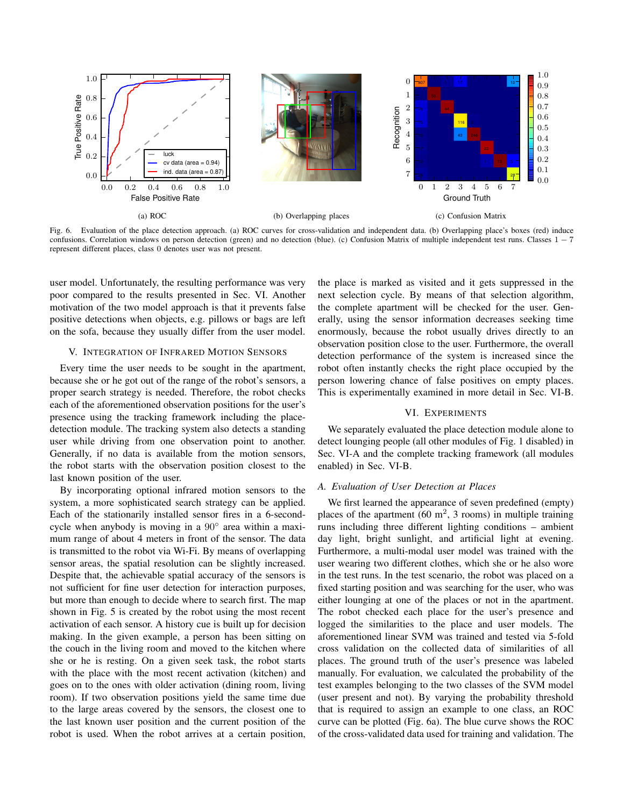

Fig. 6. Evaluation of the place detection approach. (a) ROC curves for cross-validation and independent data. (b) Overlapping place's boxes (red) induce confusions. Correlation windows on person detection (green) and no detection (blue). (c) Confusion Matrix of multiple independent test runs. Classes 1 − 7 represent different places, class 0 denotes user was not present.

user model. Unfortunately, the resulting performance was very poor compared to the results presented in Sec. VI. Another motivation of the two model approach is that it prevents false positive detections when objects, e.g. pillows or bags are left on the sofa, because they usually differ from the user model.

#### V. INTEGRATION OF INFRARED MOTION SENSORS

Every time the user needs to be sought in the apartment, because she or he got out of the range of the robot's sensors, a proper search strategy is needed. Therefore, the robot checks each of the aforementioned observation positions for the user's presence using the tracking framework including the placedetection module. The tracking system also detects a standing user while driving from one observation point to another. Generally, if no data is available from the motion sensors, the robot starts with the observation position closest to the last known position of the user.

By incorporating optional infrared motion sensors to the system, a more sophisticated search strategy can be applied. Each of the stationarily installed sensor fires in a 6-secondcycle when anybody is moving in a 90° area within a maximum range of about 4 meters in front of the sensor. The data is transmitted to the robot via Wi-Fi. By means of overlapping sensor areas, the spatial resolution can be slightly increased. Despite that, the achievable spatial accuracy of the sensors is not sufficient for fine user detection for interaction purposes, but more than enough to decide where to search first. The map shown in Fig. 5 is created by the robot using the most recent activation of each sensor. A history cue is built up for decision making. In the given example, a person has been sitting on the couch in the living room and moved to the kitchen where she or he is resting. On a given seek task, the robot starts with the place with the most recent activation (kitchen) and goes on to the ones with older activation (dining room, living room). If two observation positions yield the same time due to the large areas covered by the sensors, the closest one to the last known user position and the current position of the robot is used. When the robot arrives at a certain position, the place is marked as visited and it gets suppressed in the next selection cycle. By means of that selection algorithm, the complete apartment will be checked for the user. Generally, using the sensor information decreases seeking time enormously, because the robot usually drives directly to an observation position close to the user. Furthermore, the overall detection performance of the system is increased since the robot often instantly checks the right place occupied by the person lowering chance of false positives on empty places. This is experimentally examined in more detail in Sec. VI-B.

#### VI. EXPERIMENTS

We separately evaluated the place detection module alone to detect lounging people (all other modules of Fig. 1 disabled) in Sec. VI-A and the complete tracking framework (all modules enabled) in Sec. VI-B.

# *A. Evaluation of User Detection at Places*

We first learned the appearance of seven predefined (empty) places of the apartment (60  $m^2$ , 3 rooms) in multiple training runs including three different lighting conditions – ambient day light, bright sunlight, and artificial light at evening. Furthermore, a multi-modal user model was trained with the user wearing two different clothes, which she or he also wore in the test runs. In the test scenario, the robot was placed on a fixed starting position and was searching for the user, who was either lounging at one of the places or not in the apartment. The robot checked each place for the user's presence and logged the similarities to the place and user models. The aforementioned linear SVM was trained and tested via 5-fold cross validation on the collected data of similarities of all places. The ground truth of the user's presence was labeled manually. For evaluation, we calculated the probability of the test examples belonging to the two classes of the SVM model (user present and not). By varying the probability threshold that is required to assign an example to one class, an ROC curve can be plotted (Fig. 6a). The blue curve shows the ROC of the cross-validated data used for training and validation. The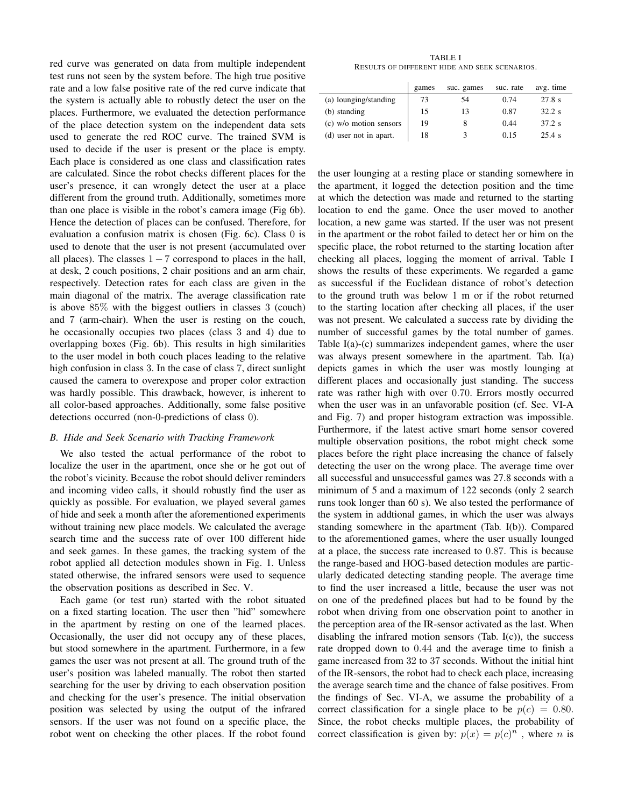red curve was generated on data from multiple independent test runs not seen by the system before. The high true positive rate and a low false positive rate of the red curve indicate that the system is actually able to robustly detect the user on the places. Furthermore, we evaluated the detection performance of the place detection system on the independent data sets used to generate the red ROC curve. The trained SVM is used to decide if the user is present or the place is empty. Each place is considered as one class and classification rates are calculated. Since the robot checks different places for the user's presence, it can wrongly detect the user at a place different from the ground truth. Additionally, sometimes more than one place is visible in the robot's camera image (Fig 6b). Hence the detection of places can be confused. Therefore, for evaluation a confusion matrix is chosen (Fig. 6c). Class 0 is used to denote that the user is not present (accumulated over all places). The classes  $1 - 7$  correspond to places in the hall, at desk, 2 couch positions, 2 chair positions and an arm chair, respectively. Detection rates for each class are given in the main diagonal of the matrix. The average classification rate is above 85% with the biggest outliers in classes 3 (couch) and 7 (arm-chair). When the user is resting on the couch, he occasionally occupies two places (class 3 and 4) due to overlapping boxes (Fig. 6b). This results in high similarities to the user model in both couch places leading to the relative high confusion in class 3. In the case of class 7, direct sunlight caused the camera to overexpose and proper color extraction was hardly possible. This drawback, however, is inherent to all color-based approaches. Additionally, some false positive detections occurred (non-0-predictions of class 0).

# *B. Hide and Seek Scenario with Tracking Framework*

We also tested the actual performance of the robot to localize the user in the apartment, once she or he got out of the robot's vicinity. Because the robot should deliver reminders and incoming video calls, it should robustly find the user as quickly as possible. For evaluation, we played several games of hide and seek a month after the aforementioned experiments without training new place models. We calculated the average search time and the success rate of over 100 different hide and seek games. In these games, the tracking system of the robot applied all detection modules shown in Fig. 1. Unless stated otherwise, the infrared sensors were used to sequence the observation positions as described in Sec. V.

Each game (or test run) started with the robot situated on a fixed starting location. The user then "hid" somewhere in the apartment by resting on one of the learned places. Occasionally, the user did not occupy any of these places, but stood somewhere in the apartment. Furthermore, in a few games the user was not present at all. The ground truth of the user's position was labeled manually. The robot then started searching for the user by driving to each observation position and checking for the user's presence. The initial observation position was selected by using the output of the infrared sensors. If the user was not found on a specific place, the robot went on checking the other places. If the robot found

TABLE I RESULTS OF DIFFERENT HIDE AND SEEK SCENARIOS.

|                        | games | suc. games | suc. rate | avg. time |
|------------------------|-------|------------|-----------|-----------|
| (a) lounging/standing  | 73    | 54         | 0.74      | 27.8 s    |
| (b) standing           | 15    | 13         | 0.87      | 32.2 s    |
| (c) w/o motion sensors | 19    |            | 0.44      | 37.2 s    |
| (d) user not in apart. | 18    |            | 0.15      | 25.4 s    |

the user lounging at a resting place or standing somewhere in the apartment, it logged the detection position and the time at which the detection was made and returned to the starting location to end the game. Once the user moved to another location, a new game was started. If the user was not present in the apartment or the robot failed to detect her or him on the specific place, the robot returned to the starting location after checking all places, logging the moment of arrival. Table I shows the results of these experiments. We regarded a game as successful if the Euclidean distance of robot's detection to the ground truth was below 1 m or if the robot returned to the starting location after checking all places, if the user was not present. We calculated a success rate by dividing the number of successful games by the total number of games. Table I(a)-(c) summarizes independent games, where the user was always present somewhere in the apartment. Tab. I(a) depicts games in which the user was mostly lounging at different places and occasionally just standing. The success rate was rather high with over 0.70. Errors mostly occurred when the user was in an unfavorable position (cf. Sec. VI-A and Fig. 7) and proper histogram extraction was impossible. Furthermore, if the latest active smart home sensor covered multiple observation positions, the robot might check some places before the right place increasing the chance of falsely detecting the user on the wrong place. The average time over all successful and unsuccessful games was 27.8 seconds with a minimum of 5 and a maximum of 122 seconds (only 2 search runs took longer than 60 s). We also tested the performance of the system in addtional games, in which the user was always standing somewhere in the apartment (Tab. I(b)). Compared to the aforementioned games, where the user usually lounged at a place, the success rate increased to 0.87. This is because the range-based and HOG-based detection modules are particularly dedicated detecting standing people. The average time to find the user increased a little, because the user was not on one of the predefined places but had to be found by the robot when driving from one observation point to another in the perception area of the IR-sensor activated as the last. When disabling the infrared motion sensors (Tab. I(c)), the success rate dropped down to 0.44 and the average time to finish a game increased from 32 to 37 seconds. Without the initial hint of the IR-sensors, the robot had to check each place, increasing the average search time and the chance of false positives. From the findings of Sec. VI-A, we assume the probability of a correct classification for a single place to be  $p(c) = 0.80$ . Since, the robot checks multiple places, the probability of correct classification is given by:  $p(x) = p(c)^n$ , where *n* is